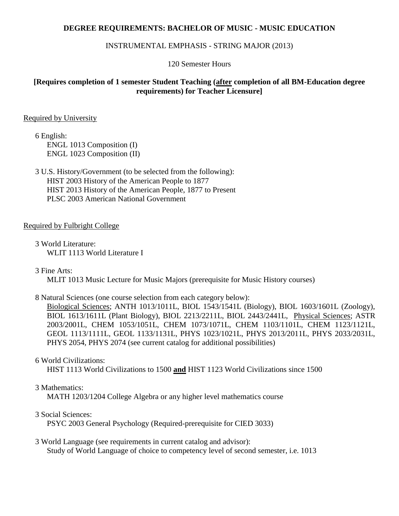## **DEGREE REQUIREMENTS: BACHELOR OF MUSIC - MUSIC EDUCATION**

#### INSTRUMENTAL EMPHASIS - STRING MAJOR (2013)

120 Semester Hours

# **[Requires completion of 1 semester Student Teaching (after completion of all BM-Education degree requirements) for Teacher Licensure]**

#### Required by University

6 English: ENGL 1013 Composition (I) ENGL 1023 Composition (II)

3 U.S. History/Government (to be selected from the following): HIST 2003 History of the American People to 1877 HIST 2013 History of the American People, 1877 to Present PLSC 2003 American National Government

## Required by Fulbright College

3 World Literature: WLIT 1113 World Literature I

3 Fine Arts:

MLIT 1013 Music Lecture for Music Majors (prerequisite for Music History courses)

8 Natural Sciences (one course selection from each category below):

Biological Sciences; ANTH 1013/1011L, BIOL 1543/1541L (Biology), BIOL 1603/1601L (Zoology), BIOL 1613/1611L (Plant Biology), BIOL 2213/2211L, BIOL 2443/2441L, Physical Sciences; ASTR 2003/2001L, CHEM 1053/1051L, CHEM 1073/1071L, CHEM 1103/1101L, CHEM 1123/1121L, GEOL 1113/1111L, GEOL 1133/1131L, PHYS 1023/1021L, PHYS 2013/2011L, PHYS 2033/2031L, PHYS 2054, PHYS 2074 (see current catalog for additional possibilities)

#### 6 World Civilizations:

HIST 1113 World Civilizations to 1500 **and** HIST 1123 World Civilizations since 1500

#### 3 Mathematics:

MATH 1203/1204 College Algebra or any higher level mathematics course

#### 3 Social Sciences:

PSYC 2003 General Psychology (Required-prerequisite for CIED 3033)

3 World Language (see requirements in current catalog and advisor): Study of World Language of choice to competency level of second semester, i.e. 1013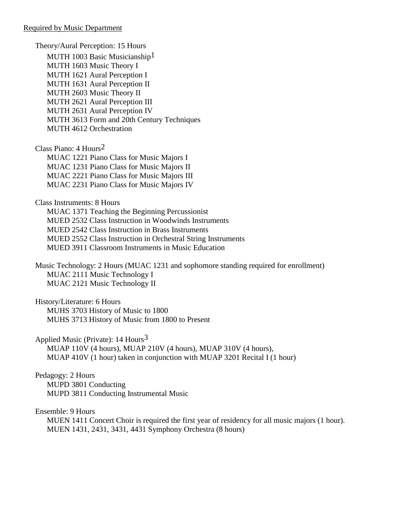Theory/Aural Perception: 15 Hours MUTH 1003 Basic Musicianship<sup>1</sup> MUTH 1603 Music Theory I MUTH 1621 Aural Perception I MUTH 1631 Aural Perception II MUTH 2603 Music Theory II MUTH 2621 Aural Perception III MUTH 2631 Aural Perception IV MUTH 3613 Form and 20th Century Techniques MUTH 4612 Orchestration

Class Piano: 4 Hours2 MUAC 1221 Piano Class for Music Majors I MUAC 1231 Piano Class for Music Majors II MUAC 2221 Piano Class for Music Majors III MUAC 2231 Piano Class for Music Majors IV

Class Instruments: 8 Hours

MUAC 1371 Teaching the Beginning Percussionist MUED 2532 Class Instruction in Woodwinds Instruments MUED 2542 Class Instruction in Brass Instruments MUED 2552 Class Instruction in Orchestral String Instruments MUED 3911 Classroom Instruments in Music Education

Music Technology: 2 Hours (MUAC 1231 and sophomore standing required for enrollment) MUAC 2111 Music Technology I MUAC 2121 Music Technology II

History/Literature: 6 Hours MUHS 3703 History of Music to 1800 MUHS 3713 History of Music from 1800 to Present

Applied Music (Private):  $14$  Hours<sup>3</sup> MUAP 110V (4 hours), MUAP 210V (4 hours), MUAP 310V (4 hours), MUAP 410V (1 hour) taken in conjunction with MUAP 3201 Recital I (1 hour)

Pedagogy: 2 Hours MUPD 3801 Conducting MUPD 3811 Conducting Instrumental Music

Ensemble: 9 Hours

MUEN 1411 Concert Choir is required the first year of residency for all music majors (1 hour). MUEN 1431, 2431, 3431, 4431 Symphony Orchestra (8 hours)